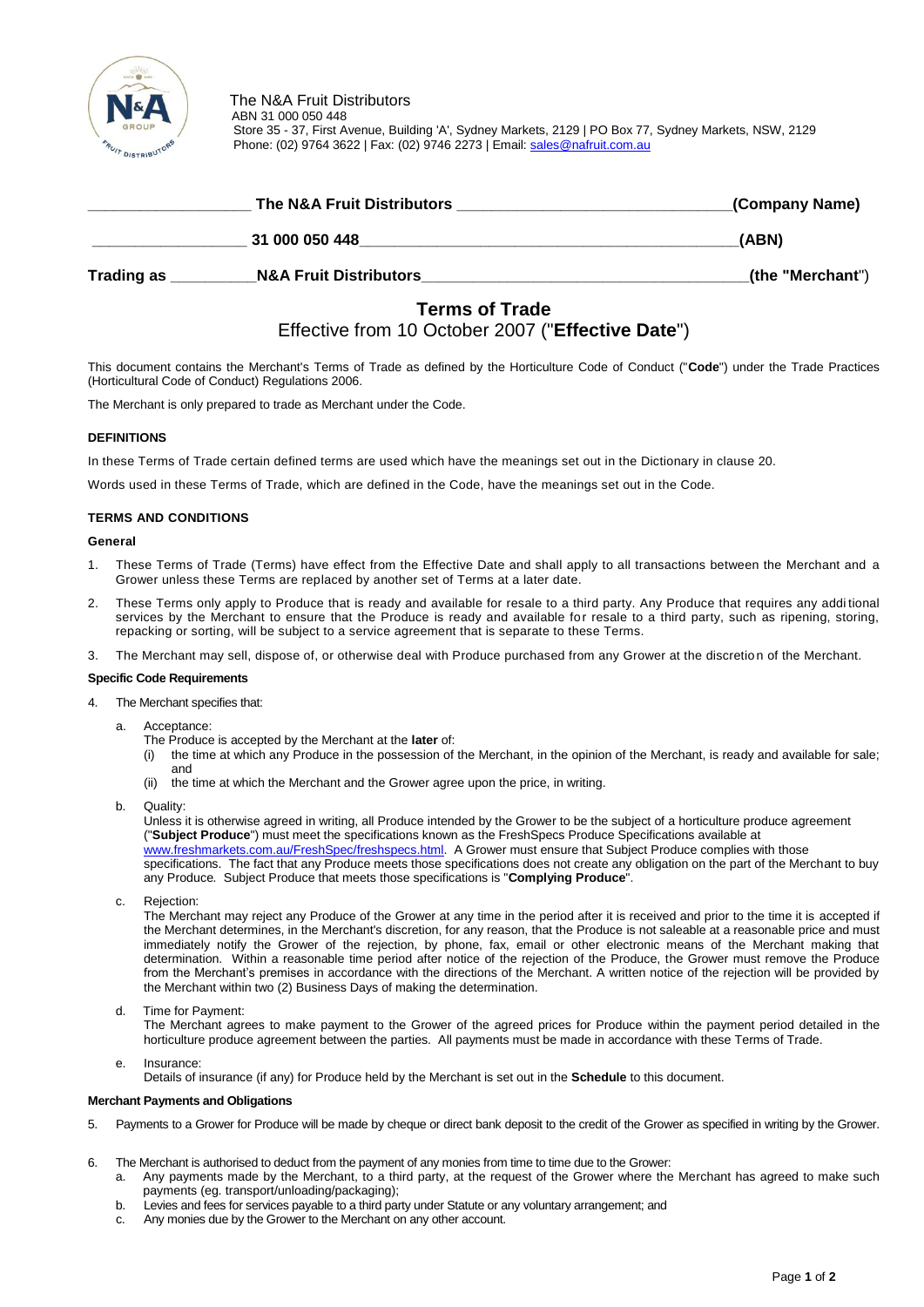

 The N&A Fruit Distributors ABN 31 000 050 448 Store 35 - 37, First Avenue, Building 'A', Sydney Markets, 2129 | PO Box 77, Sydney Markets, NSW, 2129  $\sum_{D_{\text{ISTRB}} \cup \text{I}} \sigma^{\text{e}}$  Phone: (02) 9764 3622 | Fax: (02) 9746 2273 | Email: [sales@nafruit.com.au](mailto:sales@nafruit.com.au)

|                   | The N&A Fruit Distributors<br>31 000 050 448 | (Company Name)<br>(ABN) |
|-------------------|----------------------------------------------|-------------------------|
|                   |                                              |                         |
| <b>Trading as</b> | <b>N&amp;A Fruit Distributors</b>            | _(the "Merchant")       |

# **Terms of Trade**

# Effective from 10 October 2007 ("**Effective Date**")

This document contains the Merchant's Terms of Trade as defined by the Horticulture Code of Conduct ("**Code**") under the Trade Practices (Horticultural Code of Conduct) Regulations 2006.

The Merchant is only prepared to trade as Merchant under the Code.

## **DEFINITIONS**

In these Terms of Trade certain defined terms are used which have the meanings set out in the Dictionary in clause 20.

Words used in these Terms of Trade, which are defined in the Code, have the meanings set out in the Code.

### **TERMS AND CONDITIONS**

### **General**

- 1. These Terms of Trade (Terms) have effect from the Effective Date and shall apply to all transactions between the Merchant and a Grower unless these Terms are replaced by another set of Terms at a later date.
- 2. These Terms only apply to Produce that is ready and available for resale to a third party. Any Produce that requires any addi tional services by the Merchant to ensure that the Produce is ready and available for resale to a third party, such as ripening, storing, repacking or sorting, will be subject to a service agreement that is separate to these Terms.
- 3. The Merchant may sell, dispose of, or otherwise deal with Produce purchased from any Grower at the discretio n of the Merchant.

### **Specific Code Requirements**

# 4. The Merchant specifies that:

- a. Acceptance:
	- The Produce is accepted by the Merchant at the **later** of:
	- (i) the time at which any Produce in the possession of the Merchant, in the opinion of the Merchant, is ready and available for sale; and
	- (ii) the time at which the Merchant and the Grower agree upon the price, in writing.
- b. Quality:

Unless it is otherwise agreed in writing, all Produce intended by the Grower to be the subject of a horticulture produce agreement ("**Subject Produce**") must meet the specifications known as the FreshSpecs Produce Specifications available at [www.freshmarkets.com.au/FreshSpec/freshspecs.html.](http://www.freshmarkets.com.au/FreshSpec/freshspecs.html) A Grower must ensure that Subject Produce complies with those specifications. The fact that any Produce meets those specifications does not create any obligation on the part of the Merchant to buy any Produce*.* Subject Produce that meets those specifications is "**Complying Produce**".

c. Rejection:

The Merchant may reject any Produce of the Grower at any time in the period after it is received and prior to the time it is accepted if the Merchant determines, in the Merchant's discretion, for any reason, that the Produce is not saleable at a reasonable price and must immediately notify the Grower of the rejection, by phone, fax, email or other electronic means of the Merchant making that determination. Within a reasonable time period after notice of the rejection of the Produce, the Grower must remove the Produce from the Merchant's premises in accordance with the directions of the Merchant. A written notice of the rejection will be provided by the Merchant within two (2) Business Days of making the determination.

d. Time for Payment:

The Merchant agrees to make payment to the Grower of the agreed prices for Produce within the payment period detailed in the horticulture produce agreement between the parties. All payments must be made in accordance with these Terms of Trade.

e. Insurance:

Details of insurance (if any) for Produce held by the Merchant is set out in the **Schedule** to this document.

### **Merchant Payments and Obligations**

- 5. Payments to a Grower for Produce will be made by cheque or direct bank deposit to the credit of the Grower as specified in writing by the Grower.
- 6. The Merchant is authorised to deduct from the payment of any monies from time to time due to the Grower:
	- a. Any payments made by the Merchant, to a third party, at the request of the Grower where the Merchant has agreed to make such payments (eg. transport/unloading/packaging);
	- b. Levies and fees for services payable to a third party under Statute or any voluntary arrangement; and
	- c. Any monies due by the Grower to the Merchant on any other account.